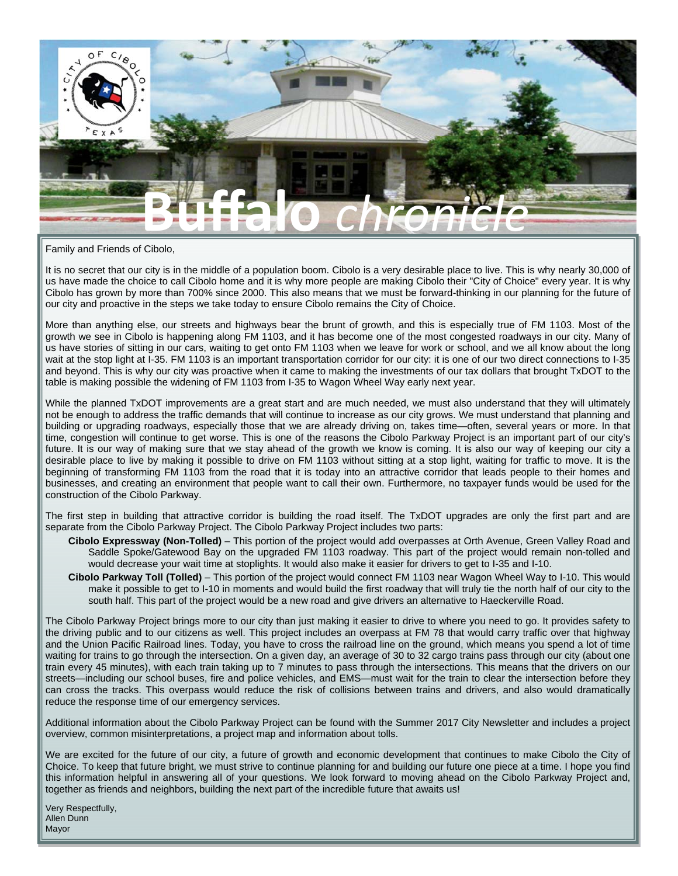

Family and Friends of Cibolo,

It is no secret that our city is in the middle of a population boom. Cibolo is a very desirable place to live. This is why nearly 30,000 of us have made the choice to call Cibolo home and it is why more people are making Cibolo their "City of Choice" every year. It is why Cibolo has grown by more than 700% since 2000. This also means that we must be forward-thinking in our planning for the future of our city and proactive in the steps we take today to ensure Cibolo remains the City of Choice.

More than anything else, our streets and highways bear the brunt of growth, and this is especially true of FM 1103. Most of the growth we see in Cibolo is happening along FM 1103, and it has become one of the most congested roadways in our city. Many of us have stories of sitting in our cars, waiting to get onto FM 1103 when we leave for work or school, and we all know about the long wait at the stop light at I-35. FM 1103 is an important transportation corridor for our city: it is one of our two direct connections to I-35 and beyond. This is why our city was proactive when it came to making the investments of our tax dollars that brought TxDOT to the table is making possible the widening of FM 1103 from I-35 to Wagon Wheel Way early next year.

While the planned TxDOT improvements are a great start and are much needed, we must also understand that they will ultimately not be enough to address the traffic demands that will continue to increase as our city grows. We must understand that planning and building or upgrading roadways, especially those that we are already driving on, takes time—often, several years or more. In that time, congestion will continue to get worse. This is one of the reasons the Cibolo Parkway Project is an important part of our city's future. It is our way of making sure that we stay ahead of the growth we know is coming. It is also our way of keeping our city a desirable place to live by making it possible to drive on FM 1103 without sitting at a stop light, waiting for traffic to move. It is the beginning of transforming FM 1103 from the road that it is today into an attractive corridor that leads people to their homes and businesses, and creating an environment that people want to call their own. Furthermore, no taxpayer funds would be used for the construction of the Cibolo Parkway.

The first step in building that attractive corridor is building the road itself. The TxDOT upgrades are only the first part and are separate from the Cibolo Parkway Project. The Cibolo Parkway Project includes two parts:

- **Cibolo Expressway (Non-Tolled)** This portion of the project would add overpasses at Orth Avenue, Green Valley Road and Saddle Spoke/Gatewood Bay on the upgraded FM 1103 roadway. This part of the project would remain non-tolled and would decrease your wait time at stoplights. It would also make it easier for drivers to get to I-35 and I-10.
- **Cibolo Parkway Toll (Tolled)** This portion of the project would connect FM 1103 near Wagon Wheel Way to I-10. This would make it possible to get to I-10 in moments and would build the first roadway that will truly tie the north half of our city to the south half. This part of the project would be a new road and give drivers an alternative to Haeckerville Road.

The Cibolo Parkway Project brings more to our city than just making it easier to drive to where you need to go. It provides safety to the driving public and to our citizens as well. This project includes an overpass at FM 78 that would carry traffic over that highway and the Union Pacific Railroad lines. Today, you have to cross the railroad line on the ground, which means you spend a lot of time waiting for trains to go through the intersection. On a given day, an average of 30 to 32 cargo trains pass through our city (about one train every 45 minutes), with each train taking up to 7 minutes to pass through the intersections. This means that the drivers on our streets—including our school buses, fire and police vehicles, and EMS—must wait for the train to clear the intersection before they can cross the tracks. This overpass would reduce the risk of collisions between trains and drivers, and also would dramatically reduce the response time of our emergency services.

Additional information about the Cibolo Parkway Project can be found with the Summer 2017 City Newsletter and includes a project overview, common misinterpretations, a project map and information about tolls.

We are excited for the future of our city, a future of growth and economic development that continues to make Cibolo the City of Choice. To keep that future bright, we must strive to continue planning for and building our future one piece at a time. I hope you find this information helpful in answering all of your questions. We look forward to moving ahead on the Cibolo Parkway Project and, together as friends and neighbors, building the next part of the incredible future that awaits us!

Very Respectfully, Allen Dunn Mayor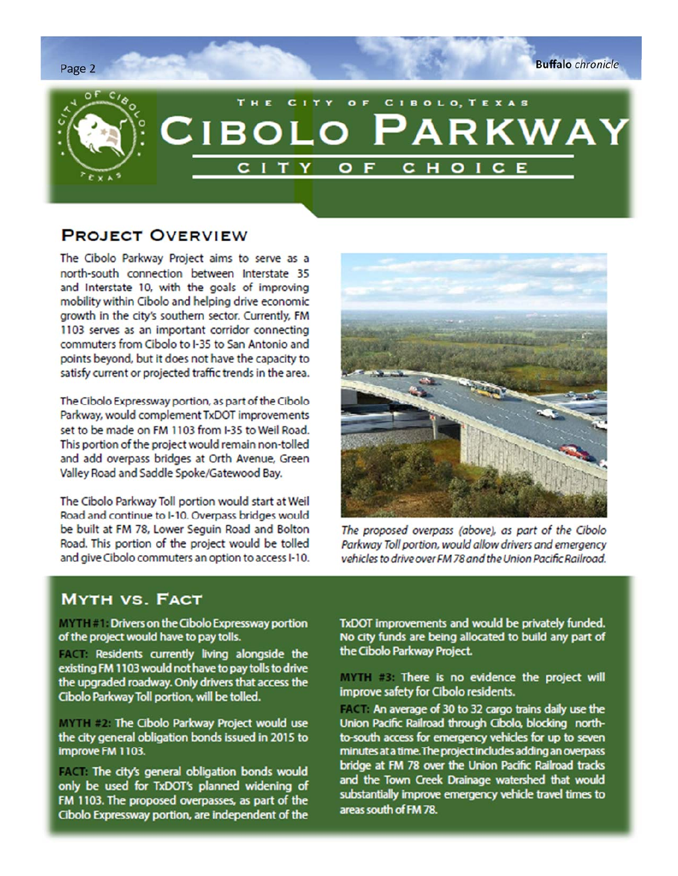**Buffalo** chronicle



## **PROJECT OVERVIEW**

The Cibolo Parkway Project aims to serve as a north-south connection between Interstate 35 and Interstate 10, with the goals of improving mobility within Cibolo and helping drive economic growth in the city's southern sector. Currently, FM 1103 serves as an important corridor connecting commuters from Cibolo to I-35 to San Antonio and points beyond, but it does not have the capacity to satisfy current or projected traffic trends in the area.

The Cibolo Expressway portion, as part of the Cibolo Parkway, would complement TxDOT improvements set to be made on FM 1103 from I-35 to Weil Road. This portion of the project would remain non-tolled and add overpass bridges at Orth Avenue, Green Valley Road and Saddle Spoke/Gatewood Bay.

The Cibolo Parkway Toll portion would start at Weil Road and continue to I-10. Overpass bridges would be built at FM 78, Lower Sequin Road and Bolton Road. This portion of the project would be tolled and give Cibolo commuters an option to access I-10.



The proposed overpass (above), as part of the Cibolo Parkway Toll portion, would allow drivers and emergency vehicles to drive over FM 78 and the Union Pacific Railroad

# **MYTH VS. FACT**

**MYTHEL Drivers on the Cibolo Expressway portion** of the project would have to pay tolls.

FACT: Residents currently living alongside the existing FM 1103 would not have to pay tolls to drive the upgraded roadway. Only drivers that access the Cibolo Parkway Toll portion, will be tolled.

**MYTH #2: The Cibolo Parkway Project would use** the city general obligation bonds issued in 2015 to improve FM 1103.

FACT: The city's general obligation bonds would only be used for TxDOT's planned widening of FM 1103. The proposed overpasses, as part of the Cibolo Expressway portion, are independent of the

TxDOT improvements and would be privately funded. No city funds are being allocated to build any part of the Cibolo Parkway Project.

**MYTH #3: There is no evidence the project will** improve safety for Cibolo residents.

FACT: An average of 30 to 32 cargo trains daily use the Union Pacific Railroad through Cibolo, blocking northto-south access for emergency vehicles for up to seven minutes at a time. The project includes adding an overpass bridge at FM 78 over the Union Pacific Railroad tracks and the Town Creek Drainage watershed that would substantially improve emergency vehicle travel times to areas south of FM 78.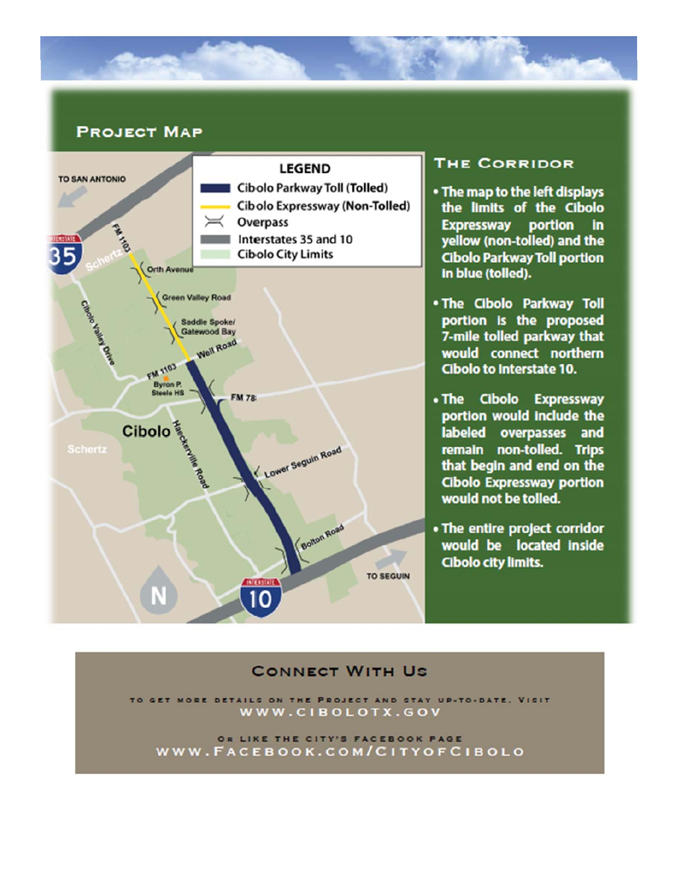

# **PROJECT MAP**



## **THE CORRIDOR**

- . The map to the left displays the limits of the Cibolo **Expressway portion in** yellow (non-tolled) and the **Cibolo Parkway Toll portion** in blue (tolled).
- . The Cibolo Parkway Toll portion is the proposed 7-mile tolled parkway that would connect northern Cibolo to Interstate 10.
- . The Cibolo Expressway portion would include the labeled overpasses and remain non-tolled. Trips that begin and end on the **Cibolo Expressway portion** would not be tolled.
- The entire project corridor would be located inside Cibolo city limits.

## **CONNECT WITH US**

ON THE PROJECT AND STAY UP-TO-DATE. VISIT WWW.CIBOLOTX.GOV

OR LIKE THE CITY'S FACEBOOK PAGE WWW.FACEBOOK.COM/CITYOFCIBOLO